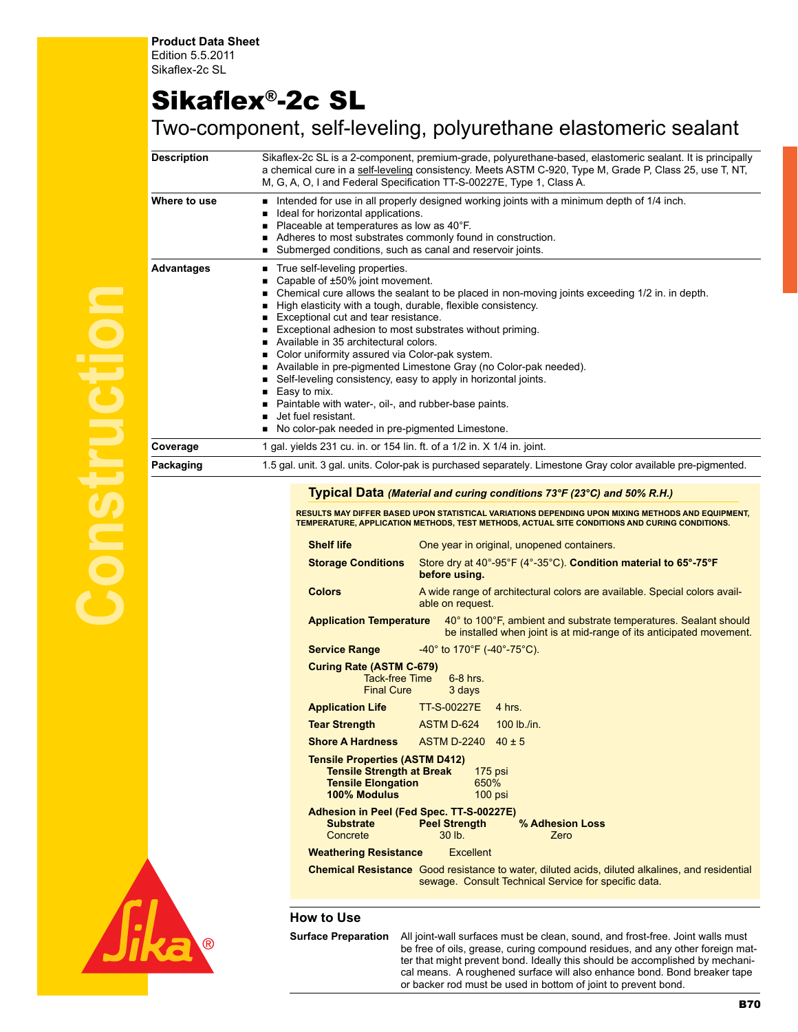## Sikaflex®-2c SL

## Two-component, self-leveling, polyurethane elastomeric sealant

| <b>Description</b> | Sikaflex-2c SL is a 2-component, premium-grade, polyurethane-based, elastomeric sealant. It is principally<br>a chemical cure in a self-leveling consistency. Meets ASTM C-920, Type M, Grade P, Class 25, use T, NT,<br>M, G, A, O, I and Federal Specification TT-S-00227E, Type 1, Class A.                                                                                                                                                                                                                                                                                                                                                                                                                                                  |
|--------------------|-------------------------------------------------------------------------------------------------------------------------------------------------------------------------------------------------------------------------------------------------------------------------------------------------------------------------------------------------------------------------------------------------------------------------------------------------------------------------------------------------------------------------------------------------------------------------------------------------------------------------------------------------------------------------------------------------------------------------------------------------|
| Where to use       | Intended for use in all properly designed working joints with a minimum depth of 1/4 inch.<br>Ideal for horizontal applications.<br>Placeable at temperatures as low as 40°F.<br>Adheres to most substrates commonly found in construction.<br>■ Submerged conditions, such as canal and reservoir joints.                                                                                                                                                                                                                                                                                                                                                                                                                                      |
| Advantages         | ■ True self-leveling properties.<br>Capable of ±50% joint movement.<br>Chemical cure allows the sealant to be placed in non-moving joints exceeding 1/2 in. in depth.<br>High elasticity with a tough, durable, flexible consistency.<br>Exceptional cut and tear resistance.<br>Exceptional adhesion to most substrates without priming.<br>Available in 35 architectural colors.<br>■ Color uniformity assured via Color-pak system.<br>Available in pre-pigmented Limestone Gray (no Color-pak needed).<br>Self-leveling consistency, easy to apply in horizontal joints.<br>$\blacksquare$ Easy to mix.<br>■ Paintable with water-, oil-, and rubber-base paints.<br>Jet fuel resistant.<br>No color-pak needed in pre-pigmented Limestone. |
| Coverage           | 1 gal. yields 231 cu. in. or 154 lin. ft. of a 1/2 in. X 1/4 in. joint.                                                                                                                                                                                                                                                                                                                                                                                                                                                                                                                                                                                                                                                                         |
| Packaging          | 1.5 gal. unit. 3 gal. units. Color-pak is purchased separately. Limestone Gray color available pre-pigmented.                                                                                                                                                                                                                                                                                                                                                                                                                                                                                                                                                                                                                                   |

## **Typical Data** *(Material and curing conditions 73°F (23°C) and 50% R.H.)*

**Results may differ based upon statistical variations depending upon mixing methods and equipment, temperature, application methods, test methods, actual site conditions and curing conditions.**

| <b>Shelf life</b>                                                                                                                                        | One year in original, unopened containers.                                                                                                                     |  |  |  |
|----------------------------------------------------------------------------------------------------------------------------------------------------------|----------------------------------------------------------------------------------------------------------------------------------------------------------------|--|--|--|
| <b>Storage Conditions</b>                                                                                                                                | Store dry at 40°-95°F (4°-35°C). Condition material to 65°-75°F<br>before using.                                                                               |  |  |  |
| <b>Colors</b>                                                                                                                                            | A wide range of architectural colors are available. Special colors avail-<br>able on request.                                                                  |  |  |  |
| <b>Application Temperature</b>                                                                                                                           | 40° to 100°F, ambient and substrate temperatures. Sealant should<br>be installed when joint is at mid-range of its anticipated movement.                       |  |  |  |
| <b>Service Range</b>                                                                                                                                     | $-40^{\circ}$ to 170°F (-40°-75°C).                                                                                                                            |  |  |  |
| <b>Curing Rate (ASTM C-679)</b><br><b>Tack-free Time</b><br><b>Final Cure</b>                                                                            | $6-8$ hrs.<br>3 days                                                                                                                                           |  |  |  |
| <b>Application Life TT-S-00227E</b>                                                                                                                      | 4 hrs.                                                                                                                                                         |  |  |  |
| <b>Tear Strength</b>                                                                                                                                     | ASTM D-624<br>$100$ lb./in.                                                                                                                                    |  |  |  |
| <b>Shore A Hardness ASTM D-2240</b>                                                                                                                      | $40 + 5$                                                                                                                                                       |  |  |  |
| <b>Tensile Properties (ASTM D412)</b><br><b>Tensile Strength at Break</b><br>$175$ psi<br>650%<br><b>Tensile Elongation</b><br>100% Modulus<br>$100$ psi |                                                                                                                                                                |  |  |  |
| <b>Substrate</b><br>Concrete                                                                                                                             | Adhesion in Peel (Fed Spec. TT-S-00227E)<br><b>Peel Strength</b><br>% Adhesion Loss<br>$30$ lb.<br>Zero                                                        |  |  |  |
| <b>Weathering Resistance</b><br>Excellent                                                                                                                |                                                                                                                                                                |  |  |  |
|                                                                                                                                                          | <b>Chemical Resistance</b> Good resistance to water, diluted acids, diluted alkalines, and residential<br>sewage. Consult Technical Service for specific data. |  |  |  |



**Surface Preparation** All joint-wall surfaces must be clean, sound, and frost-free. Joint walls must be free of oils, grease, curing compound residues, and any other foreign matter that might prevent bond. Ideally this should be accomplished by mechanical means. A roughened surface will also enhance bond. Bond breaker tape or backer rod must be used in bottom of joint to prevent bond.